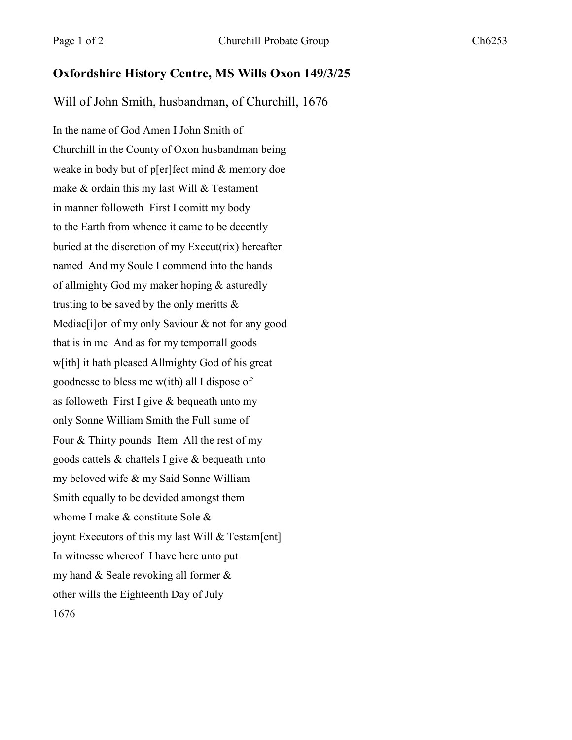## **Oxfordshire History Centre, MS Wills Oxon 149/3/25**

Will of John Smith, husbandman, of Churchill, 1676

In the name of God Amen I John Smith of Churchill in the County of Oxon husbandman being weake in body but of p[er]fect mind & memory doe make & ordain this my last Will & Testament in manner followeth First I comitt my body to the Earth from whence it came to be decently buried at the discretion of my Execut(rix) hereafter named And my Soule I commend into the hands of allmighty God my maker hoping & asturedly trusting to be saved by the only meritts  $\&$ Mediac<sup>[i]</sup>on of my only Saviour & not for any good that is in me And as for my temporrall goods w[ith] it hath pleased Allmighty God of his great goodnesse to bless me w(ith) all I dispose of as followeth First I give & bequeath unto my only Sonne William Smith the Full sume of Four & Thirty pounds Item All the rest of my goods cattels & chattels I give & bequeath unto my beloved wife & my Said Sonne William Smith equally to be devided amongst them whome I make & constitute Sole & joynt Executors of this my last Will & Testam[ent] In witnesse whereof I have here unto put my hand & Seale revoking all former & other wills the Eighteenth Day of July 1676